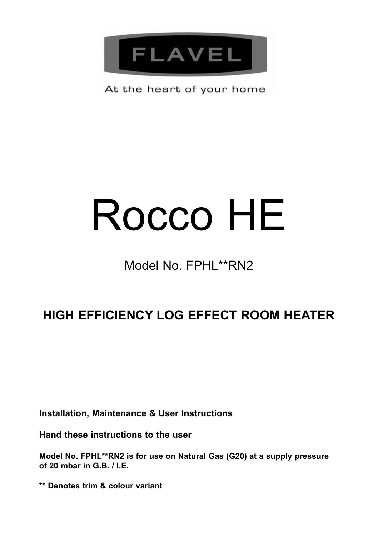

At the heart of your home

# Rocco HE

# Model No. FPHL\*\*RN2

# **HIGH EFFICIENCY LOG EFFECT ROOM HEATER**

**Installation, Maintenance & User Instructions**

**Hand these instructions to the user** 

**Model No. FPHL\*\*RN2 is for use on Natural Gas (G20) at a supply pressure of 20 mbar in G.B. / I.E.**

**\*\* Denotes trim & colour variant**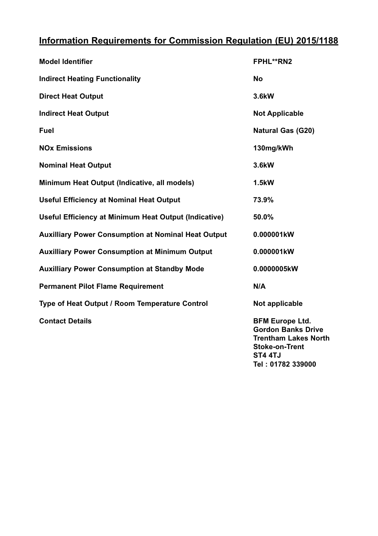# **Information Requirements for Commission Regulation (EU) 2015/1188**

| <b>Model Identifier</b>                                    | <b>FPHL**RN2</b>                                                                                            |
|------------------------------------------------------------|-------------------------------------------------------------------------------------------------------------|
| <b>Indirect Heating Functionality</b>                      | <b>No</b>                                                                                                   |
| <b>Direct Heat Output</b>                                  | 3.6kW                                                                                                       |
| <b>Indirect Heat Output</b>                                | <b>Not Applicable</b>                                                                                       |
| Fuel                                                       | <b>Natural Gas (G20)</b>                                                                                    |
| <b>NO<sub>x</sub></b> Emissions                            | 130mg/kWh                                                                                                   |
| <b>Nominal Heat Output</b>                                 | 3.6kW                                                                                                       |
| Minimum Heat Output (Indicative, all models)               | 1.5kW                                                                                                       |
| <b>Useful Efficiency at Nominal Heat Output</b>            | 73.9%                                                                                                       |
| Useful Efficiency at Minimum Heat Output (Indicative)      | 50.0%                                                                                                       |
| <b>Auxilliary Power Consumption at Nominal Heat Output</b> | 0.000001kW                                                                                                  |
| <b>Auxilliary Power Consumption at Minimum Output</b>      | 0.000001kW                                                                                                  |
| <b>Auxilliary Power Consumption at Standby Mode</b>        | 0.0000005kW                                                                                                 |
| <b>Permanent Pilot Flame Requirement</b>                   | N/A                                                                                                         |
| Type of Heat Output / Room Temperature Control             | Not applicable                                                                                              |
| <b>Contact Details</b>                                     | <b>BFM Europe Ltd.</b><br><b>Gordon Banks Drive</b><br><b>Trentham Lakes North</b><br><b>Stoke-on-Trent</b> |

**ST4 4TJ**

**Tel : 01782 339000**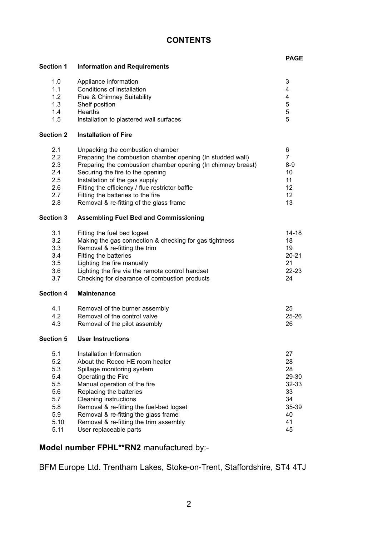#### **CONTENTS**

# 1.0 Appliance information 3<br>1.1 Conditions of installation 3 1.1 Conditions of installation and the state of the Conditions of installation and the state of the 4 metal of the 4 metal of the 4 metal of the 4 metal of the 4 metal of the 4 metal of the 4 metal of the 4 metal of the 4 1.2 Flue & Chimney Suitability **1.3** Shelf position **4** Shelf position **5**

**Section 1 Information and Requirements**

|     | Shelf position                          |  |
|-----|-----------------------------------------|--|
| 1.4 | Hearths                                 |  |
| 1.5 | Installation to plastered wall surfaces |  |

#### **Section 2 Installation of Fire**

| 2.1 | Unpacking the combustion chamber                             | 6     |
|-----|--------------------------------------------------------------|-------|
| 2.2 | Preparing the combustion chamber opening (In studded wall)   |       |
| 2.3 | Preparing the combustion chamber opening (In chimney breast) | $8-9$ |
| 2.4 | Securing the fire to the opening                             | 10    |
| 2.5 | Installation of the gas supply                               | 11    |
| 2.6 | Fitting the efficiency / flue restrictor baffle              | 12    |
| 27  | Fitting the batteries to the fire                            | 12    |
| 2.8 | Removal & re-fitting of the glass frame                      | 13    |

#### **Section 3 Assembling Fuel Bed and Commissioning**

| 3.1       | Fitting the fuel bed logset                            | 14-18     |
|-----------|--------------------------------------------------------|-----------|
| 3.2       | Making the gas connection & checking for gas tightness | 18        |
| 3.3       | Removal & re-fitting the trim                          | 19        |
| 3.4       | Fitting the batteries                                  | $20 - 21$ |
| 3.5       | Lighting the fire manually                             | 21        |
| 3.6       | Lighting the fire via the remote control handset       | $22 - 23$ |
| 3.7       | Checking for clearance of combustion products          | 24        |
| Section 4 | <b>Maintenance</b>                                     |           |
| 4.1       | Removal of the burner assembly                         | 25        |
| 4.2       | Removal of the control valve                           | $25 - 26$ |
| 4.3       | Removal of the pilot assembly                          | 26        |
| Section 5 | <b>User Instructions</b>                               |           |
| 5.1       | Installation Information                               | 27        |
| 5.2       | About the Rocco HE room heater                         | 28        |
| 5.3       | Spillage monitoring system                             | 28        |
| 5.4       | Operating the Fire                                     | 29-30     |
| 5.5       | Manual operation of the fire                           | 32-33     |
| 5.6       | Replacing the batteries                                | 33        |
| 5.7       | Cleaning instructions                                  | 34        |
| 5.8       | Removal & re-fitting the fuel-bed logset               | 35-39     |
| 5.9       | Removal & re-fitting the glass frame                   | 40        |
| 5.10      | Removal & re-fitting the trim assembly                 | 41        |
|           |                                                        |           |

5.10 Removal & re-inding the thin assembly<br>5.11 User replaceable parts 45

#### **Model number FPHL\*\*RN2** manufactured by:-

BFM Europe Ltd. Trentham Lakes, Stoke-on-Trent, Staffordshire, ST4 4TJ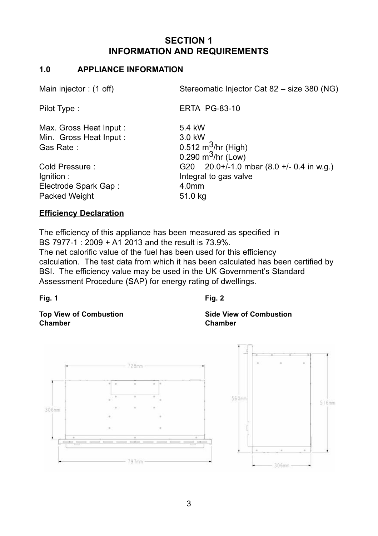# **SECTION 1 INFORMATION AND REQUIREMENTS**

#### **1.0 APPLIANCE INFORMATION**

| Main injector: (1 off) | Stereomatic Injector Cat 82 - size 380 (NG)  |
|------------------------|----------------------------------------------|
| Pilot Type:            | <b>ERTA PG-83-10</b>                         |
| Max. Gross Heat Input: | 5.4 kW                                       |
| Min. Gross Heat Input: | $3.0$ kW                                     |
| Gas Rate:              | 0.512 $m^3$ /hr (High)                       |
|                        | 0.290 $m^3$ /hr (Low)                        |
| Cold Pressure:         | G20 $20.0+/-1.0$ mbar $(8.0 +/-0.4$ in w.g.) |
| lgnition:              | Integral to gas valve                        |
| Electrode Spark Gap:   | 4.0 <sub>mm</sub>                            |
| Packed Weight          | 51.0 kg                                      |
|                        |                                              |

#### **Efficiency Declaration**

The efficiency of this appliance has been measured as specified in BS 7977-1 : 2009 + A1 2013 and the result is 73.9%.

The net calorific value of the fuel has been used for this efficiency calculation. The test data from which it has been calculated has been certified by BSI. The efficiency value may be used in the UK Government's Standard Assessment Procedure (SAP) for energy rating of dwellings.

**Fig. 1 Fig. 2**

**Chamber Chamber**



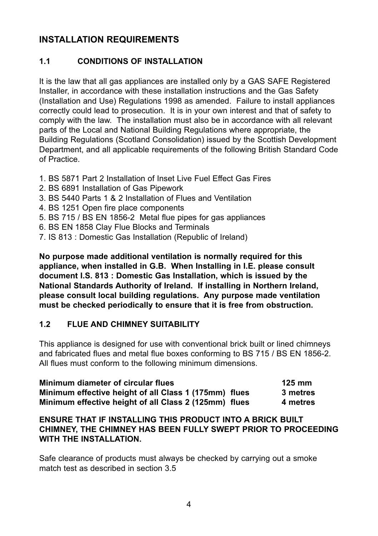# **INSTALLATION REQUIREMENTS**

#### **1.1 CONDITIONS OF INSTALLATION**

It is the law that all gas appliances are installed only by a GAS SAFE Registered Installer, in accordance with these installation instructions and the Gas Safety (Installation and Use) Regulations 1998 as amended. Failure to install appliances correctly could lead to prosecution. It is in your own interest and that of safety to comply with the law. The installation must also be in accordance with all relevant parts of the Local and National Building Regulations where appropriate, the Building Regulations (Scotland Consolidation) issued by the Scottish Development Department, and all applicable requirements of the following British Standard Code of Practice.

- 1. BS 5871 Part 2 Installation of Inset Live Fuel Effect Gas Fires
- 2. BS 6891 Installation of Gas Pipework
- 3. BS 5440 Parts 1 & 2 Installation of Flues and Ventilation
- 4. BS 1251 Open fire place components
- 5. BS 715 / BS EN 1856-2 Metal flue pipes for gas appliances
- 6. BS EN 1858 Clay Flue Blocks and Terminals
- 7. IS 813 : Domestic Gas Installation (Republic of Ireland)

**No purpose made additional ventilation is normally required for this appliance, when installed in G.B. When Installing in I.E. please consult document I.S. 813 : Domestic Gas Installation, which is issued by the National Standards Authority of Ireland. If installing in Northern Ireland, please consult local building regulations. Any purpose made ventilation must be checked periodically to ensure that it is free from obstruction.** 

#### **1.2 FLUE AND CHIMNEY SUITABILITY**

This appliance is designed for use with conventional brick built or lined chimneys and fabricated flues and metal flue boxes conforming to BS 715 / BS EN 1856-2. All flues must conform to the following minimum dimensions.

| Minimum diameter of circular flues                    | $125 \text{ mm}$ |
|-------------------------------------------------------|------------------|
| Minimum effective height of all Class 1 (175mm) flues | 3 metres         |
| Minimum effective height of all Class 2 (125mm) flues | 4 metres         |

#### **ENSURE THAT IF INSTALLING THIS PRODUCT INTO A BRICk BUILT CHIMNEY, THE CHIMNEY HAS BEEN FULLY SWEPT PRIOR TO PROCEEDING WITH THE INSTALLATION.**

Safe clearance of products must always be checked by carrying out a smoke match test as described in section 3.5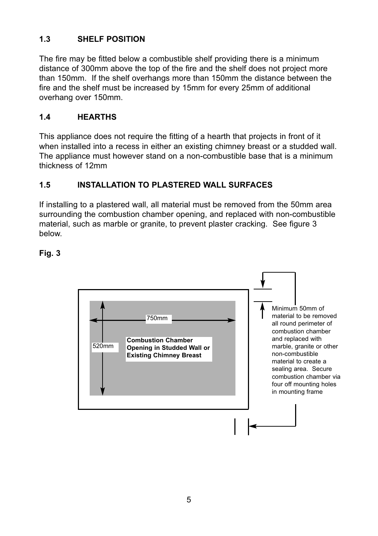# **1.3 SHELF POSITION**

The fire may be fitted below a combustible shelf providing there is a minimum distance of 300mm above the top of the fire and the shelf does not project more than 150mm. If the shelf overhangs more than 150mm the distance between the fire and the shelf must be increased by 15mm for every 25mm of additional overhang over 150mm.

#### **1.4 HEARTHS**

This appliance does not require the fitting of a hearth that projects in front of it when installed into a recess in either an existing chimney breast or a studded wall. The appliance must however stand on a non-combustible base that is a minimum thickness of 12mm

#### **1.5 INSTALLATION TO PLASTERED WALL SURFACES**

If installing to a plastered wall, all material must be removed from the 50mm area surrounding the combustion chamber opening, and replaced with non-combustible material, such as marble or granite, to prevent plaster cracking. See figure 3 below.

#### **Fig. 3**

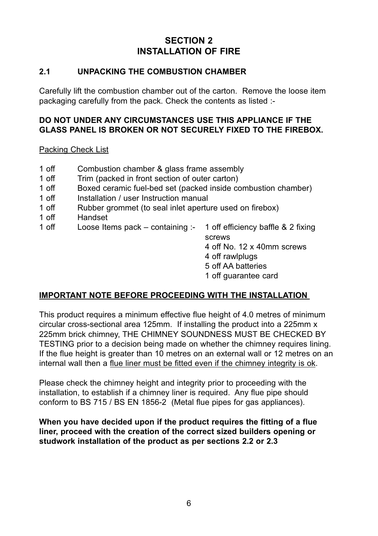# **SECTION 2 INSTALLATION OF FIRE**

#### **2.1 UNPACkING THE COMBUSTION CHAMBER**

Carefully lift the combustion chamber out of the carton. Remove the loose item packaging carefully from the pack. Check the contents as listed :-

#### **DO NOT UNDER ANY CIRCUMSTANCES USE THIS APPLIANCE IF THE GLASS PANEL IS BROkEN OR NOT SECURELY FIXED TO THE FIREBOX.**

Packing Check List

- 1 off Combustion chamber & glass frame assembly
- 1 off Trim (packed in front section of outer carton)<br>1 off Boxed ceramic fuel-bed set (packed inside co
- Boxed ceramic fuel-bed set (packed inside combustion chamber)
- 1 off Installation / user Instruction manual<br>1 off Rubber grommet (to seal inlet apertu
- 1 off Rubber grommet (to seal inlet aperture used on firebox)<br>1 off Handset
- Handset
- 1 off Loose Items pack containing :- 1 off efficiency baffle & 2 fixing
	- screws
	- 4 off No. 12 x 40mm screws
	- 4 off rawlplugs
	- 5 off AA batteries
	- 1 off guarantee card

#### **IMPORTANT NOTE BEFORE PROCEEDING WITH THE INSTALLATION**

This product requires a minimum effective flue height of 4.0 metres of minimum circular cross-sectional area 125mm. If installing the product into a 225mm x 225mm brick chimney, THE CHIMNEY SOUNDNESS MUST BE CHECKED BY TESTING prior to a decision being made on whether the chimney requires lining. If the flue height is greater than 10 metres on an external wall or 12 metres on an internal wall then a flue liner must be fitted even if the chimney integrity is ok.

Please check the chimney height and integrity prior to proceeding with the installation, to establish if a chimney liner is required. Any flue pipe should conform to BS 715 / BS EN 1856-2 (Metal flue pipes for gas appliances).

**When you have decided upon if the product requires the fitting of a flue liner, proceed with the creation of the correct sized builders opening or studwork installation of the product as per sections 2.2 or 2.3**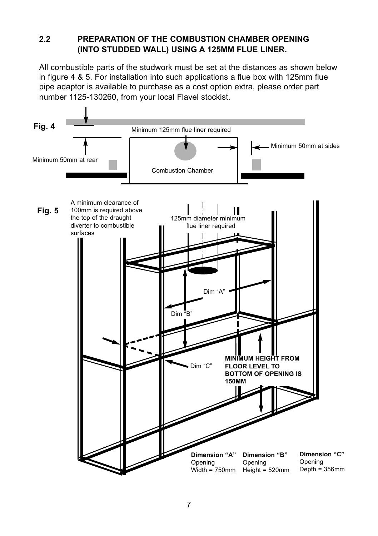#### **2.2 PREPARATION OF THE COMBUSTION CHAMBER OPENING (INTO STUDDED WALL) USING A 125MM FLUE LINER.**

All combustible parts of the studwork must be set at the distances as shown below in figure 4 & 5. For installation into such applications a flue box with 125mm flue pipe adaptor is available to purchase as a cost option extra, please order part number 1125-130260, from your local Flavel stockist.

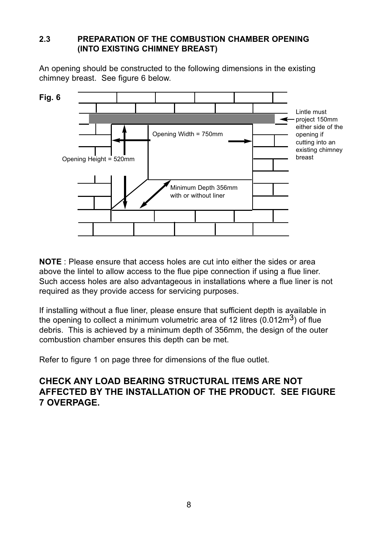#### **2.3 PREPARATION OF THE COMBUSTION CHAMBER OPENING (INTO EXISTING CHIMNEY BREAST)**

An opening should be constructed to the following dimensions in the existing chimney breast. See figure 6 below.



**NOTE** : Please ensure that access holes are cut into either the sides or area above the lintel to allow access to the flue pipe connection if using a flue liner. Such access holes are also advantageous in installations where a flue liner is not required as they provide access for servicing purposes.

If installing without a flue liner, please ensure that sufficient depth is available in the opening to collect a minimum volumetric area of 12 litres  $(0.012\text{m}^3)$  of flue debris. This is achieved by a minimum depth of 356mm, the design of the outer combustion chamber ensures this depth can be met.

Refer to figure 1 on page three for dimensions of the flue outlet.

# **CHECk ANY LOAD BEARING STRUCTURAL ITEMS ARE NOT AFFECTED BY THE INSTALLATION OF THE PRODUCT. SEE FIGURE 7 OVERPAGE.**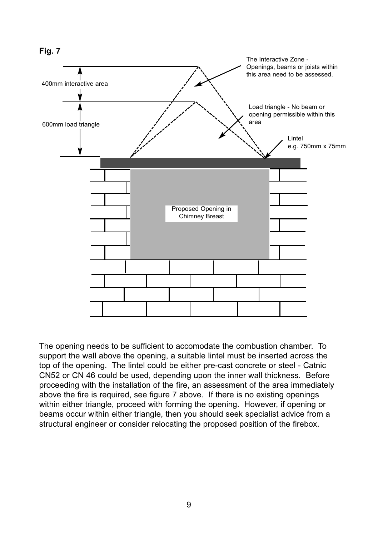

The opening needs to be sufficient to accomodate the combustion chamber. To support the wall above the opening, a suitable lintel must be inserted across the top of the opening. The lintel could be either pre-cast concrete or steel - Catnic CN52 or CN 46 could be used, depending upon the inner wall thickness. Before proceeding with the installation of the fire, an assessment of the area immediately above the fire is required, see figure 7 above. If there is no existing openings within either triangle, proceed with forming the opening. However, if opening or beams occur within either triangle, then you should seek specialist advice from a structural engineer or consider relocating the proposed position of the firebox.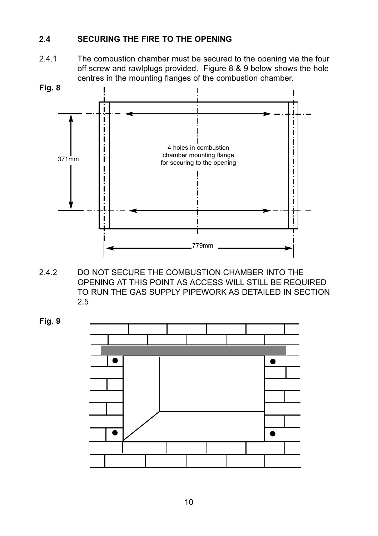#### **2.4 SECURING THE FIRE TO THE OPENING**

2.4.1 The combustion chamber must be secured to the opening via the four off screw and rawlplugs provided. Figure 8 & 9 below shows the hole centres in the mounting flanges of the combustion chamber.



2.4.2 DO NOT SECURE THE COMBUSTION CHAMBER INTO THE OPENING AT THIS POINT AS ACCESS WILL STILL BE REQUIRED TO RUN THE GAS SUPPLY PIPEWORK AS DETAILED IN SECTION 2.5

**Fig. 9**

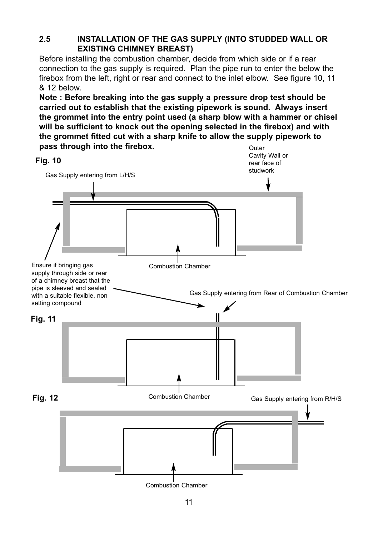## **2.5 INSTALLATION OF THE GAS SUPPLY (INTO STUDDED WALL OR EXISTING CHIMNEY BREAST)**

Before installing the combustion chamber, decide from which side or if a rear connection to the gas supply is required. Plan the pipe run to enter the below the firebox from the left, right or rear and connect to the inlet elbow. See figure 10, 11 & 12 below.

**Note : Before breaking into the gas supply a pressure drop test should be carried out to establish that the existing pipework is sound. Always insert the grommet into the entry point used (a sharp blow with a hammer or chisel will be sufficient to knock out the opening selected in the firebox) and with the grommet fitted cut with a sharp knife to allow the supply pipework to pass through into the firebox.** Outer

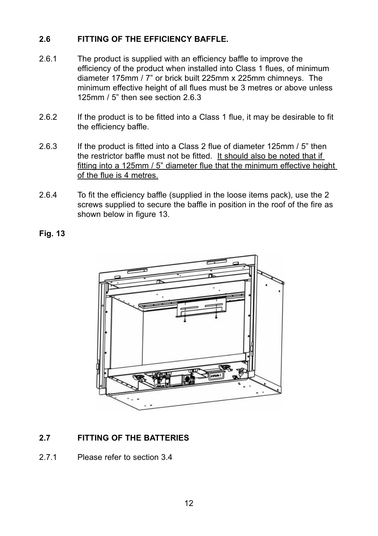#### **2.6 FITTING OF THE EFFICIENCY BAFFLE.**

- 2.6.1 The product is supplied with an efficiency baffle to improve the efficiency of the product when installed into Class 1 flues, of minimum diameter 175mm / 7" or brick built 225mm x 225mm chimneys. The minimum effective height of all flues must be 3 metres or above unless 125mm / 5" then see section 2.6.3
- 2.6.2 If the product is to be fitted into a Class 1 flue, it may be desirable to fit the efficiency baffle.
- 2.6.3 If the product is fitted into a Class 2 flue of diameter 125mm / 5" then the restrictor baffle must not be fitted. It should also be noted that if fitting into a 125mm / 5" diameter flue that the minimum effective height of the flue is 4 metres.
- 2.6.4 To fit the efficiency baffle (supplied in the loose items pack), use the 2 screws supplied to secure the baffle in position in the roof of the fire as shown below in figure 13.

**Fig. 13**



# **2.7 FITTING OF THE BATTERIES**

2.7.1 Please refer to section 3.4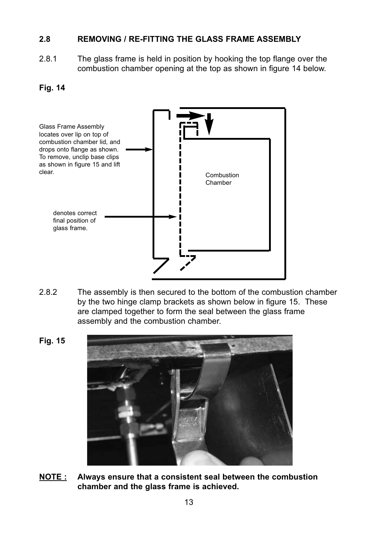#### **2.8 REMOVING / RE-FITTING THE GLASS FRAME ASSEMBLY**

2.8.1 The glass frame is held in position by hooking the top flange over the combustion chamber opening at the top as shown in figure 14 below.

#### **Fig. 14**



- 2.8.2 The assembly is then secured to the bottom of the combustion chamber by the two hinge clamp brackets as shown below in figure 15. These are clamped together to form the seal between the glass frame assembly and the combustion chamber.
	-
- **NOTE : Always ensure that a consistent seal between the combustion chamber and the glass frame is achieved.**

**Fig. 15**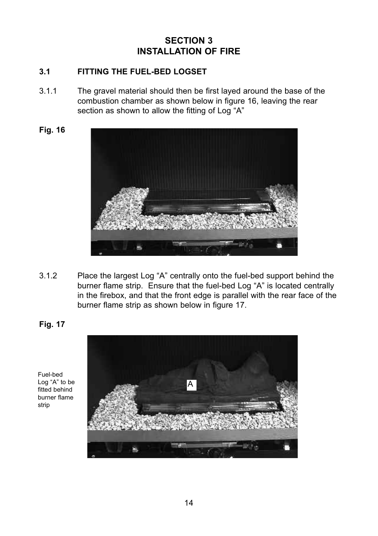# **SECTION 3 INSTALLATION OF FIRE**

#### **3.1 FITTING THE FUEL-BED LOGSET**

- 3.1.1 The gravel material should then be first layed around the base of the combustion chamber as shown below in figure 16, leaving the rear section as shown to allow the fitting of Log "A"
- **Fig. 16**



3.1.2 Place the largest Log "A" centrally onto the fuel-bed support behind the burner flame strip. Ensure that the fuel-bed Log "A" is located centrally in the firebox, and that the front edge is parallel with the rear face of the burner flame strip as shown below in figure 17.

**Fig. 17**



Fuel-bed Log "A" to be fitted behind burner flame strip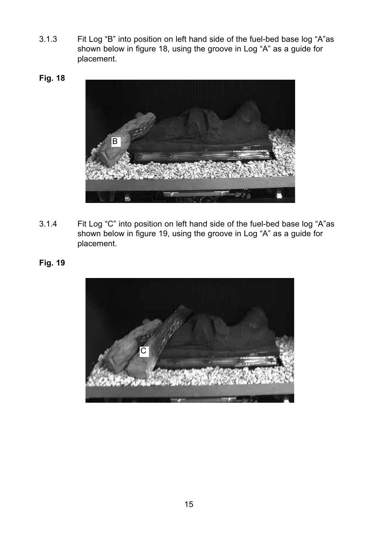- 3.1.3 Fit Log "B" into position on left hand side of the fuel-bed base log "A"as shown below in figure 18, using the groove in Log "A" as a guide for placement.
- **Fig. 18**



- 3.1.4 Fit Log "C" into position on left hand side of the fuel-bed base log "A"as shown below in figure 19, using the groove in Log "A" as a guide for placement.
- **Fig. 19**

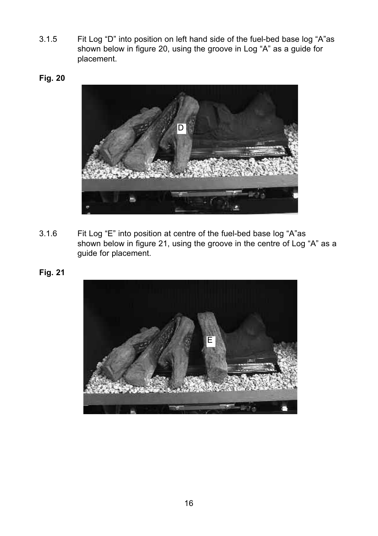- 3.1.5 Fit Log "D" into position on left hand side of the fuel-bed base log "A"as shown below in figure 20, using the groove in Log "A" as a guide for placement.
- **Fig. 20**



- 3.1.6 Fit Log "E" into position at centre of the fuel-bed base log "A"as shown below in figure 21, using the groove in the centre of Log "A" as a guide for placement.
- **Fig. 21**

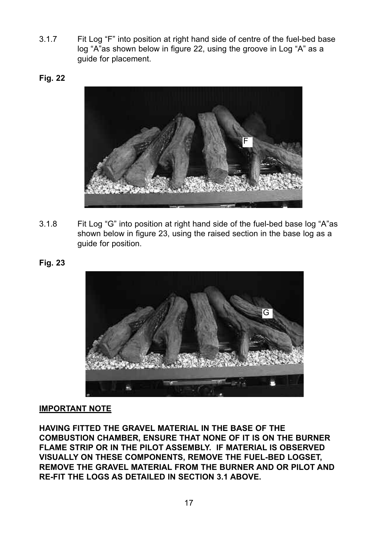- 3.1.7 Fit Log "F" into position at right hand side of centre of the fuel-bed base log "A"as shown below in figure 22, using the groove in Log "A" as a guide for placement.
- **Fig. 22**



- 3.1.8 Fit Log "G" into position at right hand side of the fuel-bed base log "A"as shown below in figure 23, using the raised section in the base log as a guide for position.
- **Fig. 23**



#### **IMPORTANT NOTE**

**HAVING FITTED THE GRAVEL MATERIAL IN THE BASE OF THE COMBUSTION CHAMBER, ENSURE THAT NONE OF IT IS ON THE BURNER FLAME STRIP OR IN THE PILOT ASSEMBLY. IF MATERIAL IS OBSERVED VISUALLY ON THESE COMPONENTS, REMOVE THE FUEL-BED LOGSET, REMOVE THE GRAVEL MATERIAL FROM THE BURNER AND OR PILOT AND RE-FIT THE LOGS AS DETAILED IN SECTION 3.1 ABOVE.**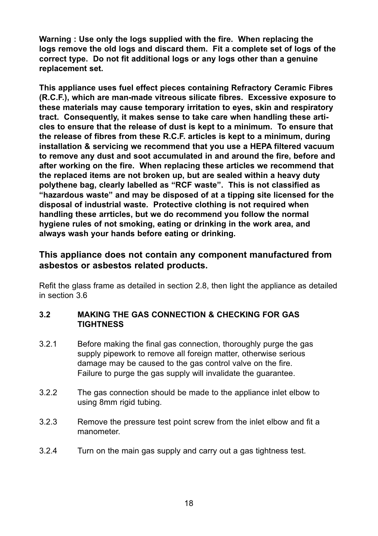**Warning : Use only the logs supplied with the fire. When replacing the logs remove the old logs and discard them. Fit a complete set of logs of the correct type. Do not fit additional logs or any logs other than a genuine replacement set.**

**This appliance uses fuel effect pieces containing Refractory Ceramic Fibres (R.C.F.), which are man-made vitreous silicate fibres. Excessive exposure to these materials may cause temporary irritation to eyes, skin and respiratory tract. Consequently, it makes sense to take care when handling these articles to ensure that the release of dust is kept to a minimum. To ensure that the release of fibres from these R.C.F. articles is kept to a minimum, during installation & servicing we recommend that you use a HEPA filtered vacuum to remove any dust and soot accumulated in and around the fire, before and after working on the fire. When replacing these articles we recommend that the replaced items are not broken up, but are sealed within a heavy duty polythene bag, clearly labelled as "RCF waste". This is not classified as "hazardous waste" and may be disposed of at a tipping site licensed for the disposal of industrial waste. Protective clothing is not required when handling these arrticles, but we do recommend you follow the normal hygiene rules of not smoking, eating or drinking in the work area, and always wash your hands before eating or drinking.**

## **This appliance does not contain any component manufactured from asbestos or asbestos related products.**

Refit the glass frame as detailed in section 2.8, then light the appliance as detailed in section 3.6

#### **3.2 MAkING THE GAS CONNECTION & CHECkING FOR GAS TIGHTNESS**

- 3.2.1 Before making the final gas connection, thoroughly purge the gas supply pipework to remove all foreign matter, otherwise serious damage may be caused to the gas control valve on the fire. Failure to purge the gas supply will invalidate the guarantee.
- 3.2.2 The gas connection should be made to the appliance inlet elbow to using 8mm rigid tubing.
- 3.2.3 Remove the pressure test point screw from the inlet elbow and fit a manometer.
- 3.2.4 Turn on the main gas supply and carry out a gas tightness test.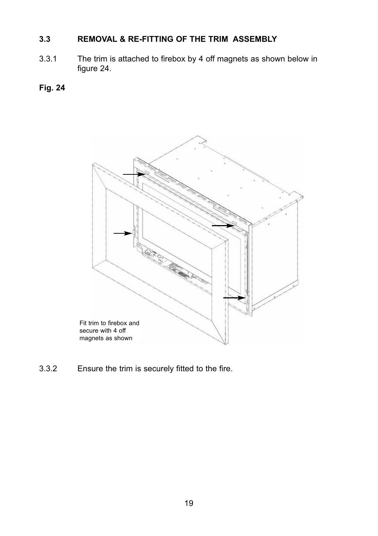# **3.3 REMOVAL & RE-FITTING OF THE TRIM ASSEMBLY**

3.3.1 The trim is attached to firebox by 4 off magnets as shown below in figure 24.

## **Fig. 24**



3.3.2 Ensure the trim is securely fitted to the fire.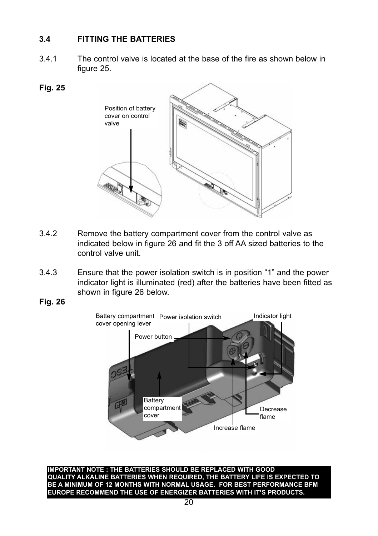#### **3.4 FITTING THE BATTERIES**

3.4.1 The control valve is located at the base of the fire as shown below in figure 25.

#### **Fig. 25**



- 3.4.2 Remove the battery compartment cover from the control valve as indicated below in figure 26 and fit the 3 off AA sized batteries to the control valve unit.
- 3.4.3 Ensure that the power isolation switch is in position "1" and the power indicator light is illuminated (red) after the batteries have been fitted as shown in figure 26 below.
- **Fig. 26**



**IMPORTANT NOTE : THE BATTERIES SHOULD BE REPLACED WITH GOOD QUALITY ALkALINE BATTERIES WHEN REQUIRED, THE BATTERY LIFE IS EXPECTED TO BE A MINIMUM OF 12 MONTHS WITH NORMAL USAGE. FOR BEST PERFORMANCE BFM EUROPE RECOMMEND THE USE OF ENERGIZER BATTERIES WITH IT'S PRODUCTS.**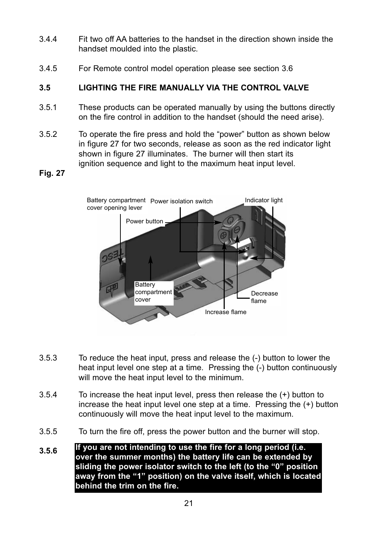- 3.4.4 Fit two off AA batteries to the handset in the direction shown inside the handset moulded into the plastic.
- 3.4.5 For Remote control model operation please see section 3.6

## **3.5 LIGHTING THE FIRE MANUALLY VIA THE CONTROL VALVE**

- 3.5.1 These products can be operated manually by using the buttons directly on the fire control in addition to the handset (should the need arise).
- 3.5.2 To operate the fire press and hold the "power" button as shown below in figure 27 for two seconds, release as soon as the red indicator light shown in figure 27 illuminates. The burner will then start its ignition sequence and light to the maximum heat input level.

#### **Fig. 27**



- 3.5.3 To reduce the heat input, press and release the (-) button to lower the heat input level one step at a time. Pressing the (-) button continuously will move the heat input level to the minimum.
- 3.5.4 To increase the heat input level, press then release the (+) button to increase the heat input level one step at a time. Pressing the (+) button continuously will move the heat input level to the maximum.
- 3.5.5 To turn the fire off, press the power button and the burner will stop.
- **3.5.6 If you are not intending to use the fire for a long period (i.e. over the summer months) the battery life can be extended by sliding the power isolator switch to the left (to the "0" position away from the "1" position) on the valve itself, which is located behind the trim on the fire.**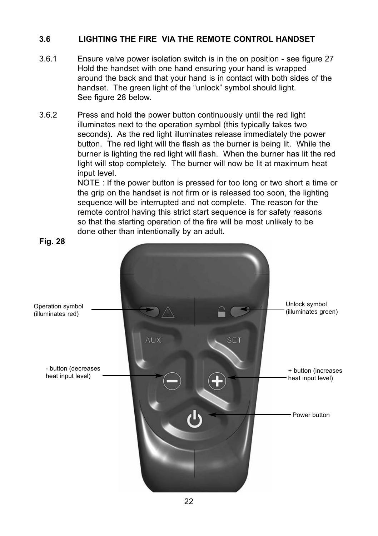#### **3.6 LIGHTING THE FIRE VIA THE REMOTE CONTROL HANDSET**

- 3.6.1 Ensure valve power isolation switch is in the on position see figure 27 Hold the handset with one hand ensuring your hand is wrapped around the back and that your hand is in contact with both sides of the handset. The green light of the "unlock" symbol should light. See figure 28 below.
- 3.6.2 Press and hold the power button continuously until the red light illuminates next to the operation symbol (this typically takes two seconds). As the red light illuminates release immediately the power button. The red light will the flash as the burner is being lit. While the burner is lighting the red light will flash. When the burner has lit the red light will stop completely. The burner will now be lit at maximum heat input level.

NOTE : If the power button is pressed for too long or two short a time or the grip on the handset is not firm or is released too soon, the lighting sequence will be interrupted and not complete. The reason for the remote control having this strict start sequence is for safety reasons so that the starting operation of the fire will be most unlikely to be done other than intentionally by an adult.

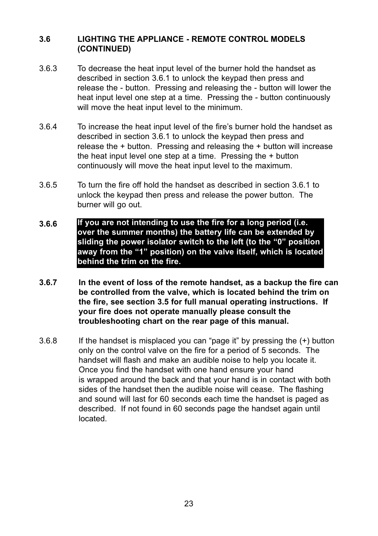#### **3.6 LIGHTING THE APPLIANCE - REMOTE CONTROL MODELS  (CONTINUED)**

- 3.6.3 To decrease the heat input level of the burner hold the handset as described in section 3.6.1 to unlock the keypad then press and release the - button. Pressing and releasing the - button will lower the heat input level one step at a time. Pressing the - button continuously will move the heat input level to the minimum.
- 3.6.4 To increase the heat input level of the fire's burner hold the handset as described in section 3.6.1 to unlock the keypad then press and release the + button. Pressing and releasing the + button will increase the heat input level one step at a time. Pressing the + button continuously will move the heat input level to the maximum.
- 3.6.5 To turn the fire off hold the handset as described in section 3.6.1 to unlock the keypad then press and release the power button. The burner will go out.
- **3.6.6 If you are not intending to use the fire for a long period (i.e. over the summer months) the battery life can be extended by sliding the power isolator switch to the left (to the "0" position away from the "1" position) on the valve itself, which is located behind the trim on the fire.**
- **3.6.7 In the event of loss of the remote handset, as a backup the fire can be controlled from the valve, which is located behind the trim on the fire, see section 3.5 for full manual operating instructions. If your fire does not operate manually please consult the troubleshooting chart on the rear page of this manual.**
- 3.6.8 If the handset is misplaced you can "page it" by pressing the (+) button only on the control valve on the fire for a period of 5 seconds. The handset will flash and make an audible noise to help you locate it. Once you find the handset with one hand ensure your hand is wrapped around the back and that your hand is in contact with both sides of the handset then the audible noise will cease. The flashing and sound will last for 60 seconds each time the handset is paged as described. If not found in 60 seconds page the handset again until located.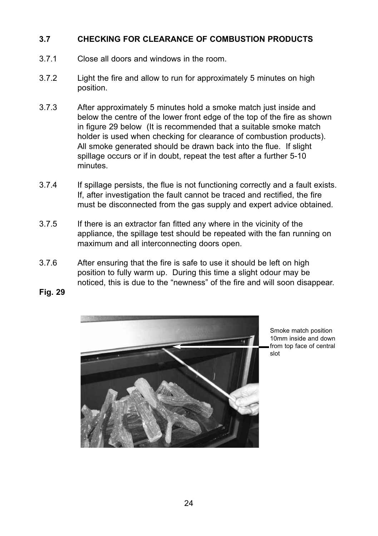#### **3.7 CHECkING FOR CLEARANCE OF COMBUSTION PRODUCTS**

- 3.7.1 Close all doors and windows in the room.
- 3.7.2 Light the fire and allow to run for approximately 5 minutes on high position.
- 3.7.3 After approximately 5 minutes hold a smoke match just inside and below the centre of the lower front edge of the top of the fire as shown in figure 29 below (It is recommended that a suitable smoke match holder is used when checking for clearance of combustion products). All smoke generated should be drawn back into the flue. If slight spillage occurs or if in doubt, repeat the test after a further 5-10 minutes.
- 3.7.4 If spillage persists, the flue is not functioning correctly and a fault exists. If, after investigation the fault cannot be traced and rectified, the fire must be disconnected from the gas supply and expert advice obtained.
- 3.7.5 If there is an extractor fan fitted any where in the vicinity of the appliance, the spillage test should be repeated with the fan running on maximum and all interconnecting doors open.
- 3.7.6 After ensuring that the fire is safe to use it should be left on high position to fully warm up. During this time a slight odour may be noticed, this is due to the "newness" of the fire and will soon disappear.
- **Fig. 29**



Smoke match position 10mm inside and down from top face of central slot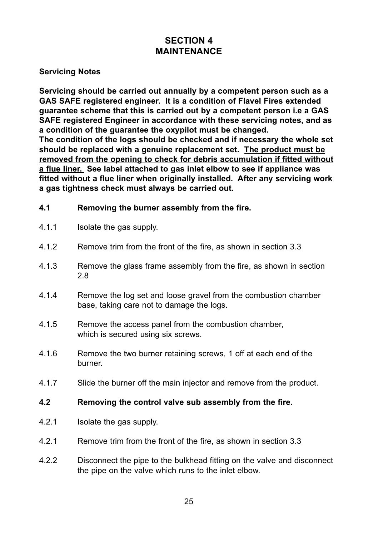# **SECTION 4 MAINTENANCE**

#### **Servicing Notes**

**Servicing should be carried out annually by a competent person such as a GAS SAFE registered engineer. It is a condition of Flavel Fires extended guarantee scheme that this is carried out by a competent person i.e a GAS SAFE registered Engineer in accordance with these servicing notes, and as a condition of the guarantee the oxypilot must be changed. The condition of the logs should be checked and if necessary the whole set**

**should be replaced with a genuine replacement set. The product must be removed from the opening to check for debris accumulation if fitted without a flue liner. See label attached to gas inlet elbow to see if appliance was fitted without a flue liner when originally installed. After any servicing work a gas tightness check must always be carried out.**

#### **4.1 Removing the burner assembly from the fire.**

- 4.1.1 **Isolate the gas supply.**
- 4.1.2 Remove trim from the front of the fire, as shown in section 3.3
- 4.1.3 Remove the glass frame assembly from the fire, as shown in section 2.8
- 4.1.4 Remove the log set and loose gravel from the combustion chamber base, taking care not to damage the logs.
- 4.1.5 Remove the access panel from the combustion chamber, which is secured using six screws.
- 4.1.6 Remove the two burner retaining screws, 1 off at each end of the burner.
- 4.1.7 Slide the burner off the main injector and remove from the product.

#### **4.2 Removing the control valve sub assembly from the fire.**

- 4.2.1 Isolate the gas supply.
- 4.2.1 Remove trim from the front of the fire, as shown in section 3.3
- 4.2.2 Disconnect the pipe to the bulkhead fitting on the valve and disconnect the pipe on the valve which runs to the inlet elbow.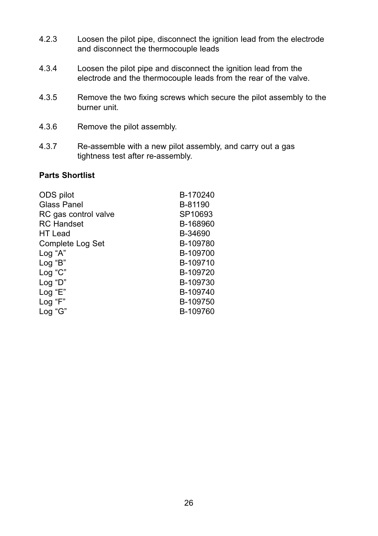- 4.2.3 Loosen the pilot pipe, disconnect the ignition lead from the electrode and disconnect the thermocouple leads
- 4.3.4 Loosen the pilot pipe and disconnect the ignition lead from the electrode and the thermocouple leads from the rear of the valve.
- 4.3.5 Remove the two fixing screws which secure the pilot assembly to the burner unit.
- 4.3.6 Remove the pilot assembly.
- 4.3.7 Re-assemble with a new pilot assembly, and carry out a gas tightness test after re-assembly.

#### **Parts Shortlist**

| ODS pilot            | B-170240 |
|----------------------|----------|
| Glass Panel          | B-81190  |
| RC gas control valve | SP10693  |
| RC Handset           | B-168960 |
| HT Lead              | B-34690  |
| Complete Log Set     | B-109780 |
| Log "A"              | B-109700 |
| Log "B"              | B-109710 |
| Log "C"              | B-109720 |
| Log "D"              | B-109730 |
| Log "E"              | B-109740 |
| Log "F"              | B-109750 |
| Log "G"              | B-109760 |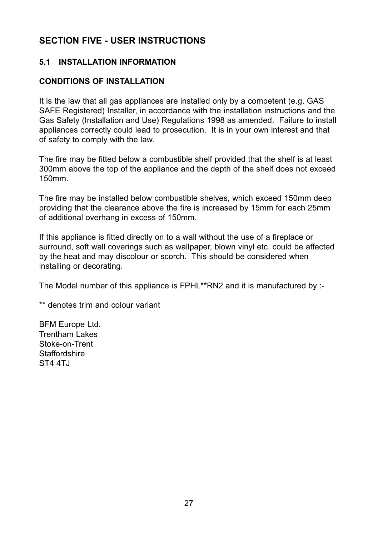# **SECTION FIVE - USER INSTRUCTIONS**

#### **5.1 INSTALLATION INFORMATION**

#### **CONDITIONS OF INSTALLATION**

It is the law that all gas appliances are installed only by a competent (e.g. GAS SAFE Registered) Installer, in accordance with the installation instructions and the Gas Safety (Installation and Use) Regulations 1998 as amended. Failure to install appliances correctly could lead to prosecution. It is in your own interest and that of safety to comply with the law.

The fire may be fitted below a combustible shelf provided that the shelf is at least 300mm above the top of the appliance and the depth of the shelf does not exceed 150mm.

The fire may be installed below combustible shelves, which exceed 150mm deep providing that the clearance above the fire is increased by 15mm for each 25mm of additional overhang in excess of 150mm.

If this appliance is fitted directly on to a wall without the use of a fireplace or surround, soft wall coverings such as wallpaper, blown vinyl etc. could be affected by the heat and may discolour or scorch. This should be considered when installing or decorating.

The Model number of this appliance is FPHL\*\*RN2 and it is manufactured by :-

\*\* denotes trim and colour variant

BFM Europe Ltd. Trentham Lakes Stoke-on-Trent Staffordshire ST4 4TJ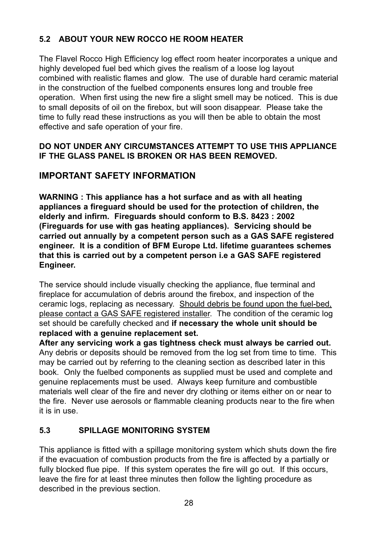# **5.2 ABOUT YOUR NEW ROCCO HE ROOM HEATER**

The Flavel Rocco High Efficiency log effect room heater incorporates a unique and highly developed fuel bed which gives the realism of a loose log layout combined with realistic flames and glow. The use of durable hard ceramic material in the construction of the fuelbed components ensures long and trouble free operation. When first using the new fire a slight smell may be noticed. This is due to small deposits of oil on the firebox, but will soon disappear. Please take the time to fully read these instructions as you will then be able to obtain the most effective and safe operation of your fire.

#### **DO NOT UNDER ANY CIRCUMSTANCES ATTEMPT TO USE THIS APPLIANCE IF THE GLASS PANEL IS BROkEN OR HAS BEEN REMOVED.**

# **IMPORTANT SAFETY INFORMATION**

**WARNING : This appliance has a hot surface and as with all heating appliances a fireguard should be used for the protection of children, the elderly and infirm. Fireguards should conform to B.S. 8423 : 2002 (Fireguards for use with gas heating appliances). Servicing should be carried out annually by a competent person such as a GAS SAFE registered engineer. It is a condition of BFM Europe Ltd. lifetime guarantees schemes that this is carried out by a competent person i.e a GAS SAFE registered Engineer.**

The service should include visually checking the appliance, flue terminal and fireplace for accumulation of debris around the firebox, and inspection of the ceramic logs, replacing as necessary. Should debris be found upon the fuel-bed, please contact a GAS SAFE registered installer. The condition of the ceramic log set should be carefully checked and **if necessary the whole unit should be replaced with a genuine replacement set.**

**After any servicing work a gas tightness check must always be carried out.** Any debris or deposits should be removed from the log set from time to time. This may be carried out by referring to the cleaning section as described later in this book. Only the fuelbed components as supplied must be used and complete and genuine replacements must be used. Always keep furniture and combustible materials well clear of the fire and never dry clothing or items either on or near to the fire. Never use aerosols or flammable cleaning products near to the fire when it is in use.

#### **5.3 SPILLAGE MONITORING SYSTEM**

This appliance is fitted with a spillage monitoring system which shuts down the fire if the evacuation of combustion products from the fire is affected by a partially or fully blocked flue pipe. If this system operates the fire will go out. If this occurs, leave the fire for at least three minutes then follow the lighting procedure as described in the previous section.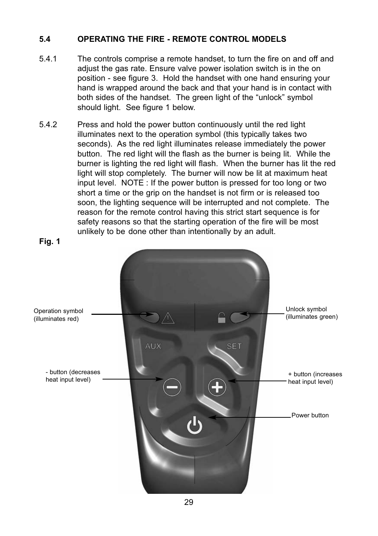#### **5.4 OPERATING THE FIRE - REMOTE CONTROL MODELS**

- 5.4.1 The controls comprise a remote handset, to turn the fire on and off and adjust the gas rate. Ensure valve power isolation switch is in the on position - see figure 3. Hold the handset with one hand ensuring your hand is wrapped around the back and that your hand is in contact with both sides of the handset. The green light of the "unlock" symbol should light. See figure 1 below.
- 5.4.2 Press and hold the power button continuously until the red light illuminates next to the operation symbol (this typically takes two seconds). As the red light illuminates release immediately the power button. The red light will the flash as the burner is being lit. While the burner is lighting the red light will flash. When the burner has lit the red light will stop completely. The burner will now be lit at maximum heat input level. NOTE : If the power button is pressed for too long or two short a time or the grip on the handset is not firm or is released too soon, the lighting sequence will be interrupted and not complete. The reason for the remote control having this strict start sequence is for safety reasons so that the starting operation of the fire will be most unlikely to be done other than intentionally by an adult.

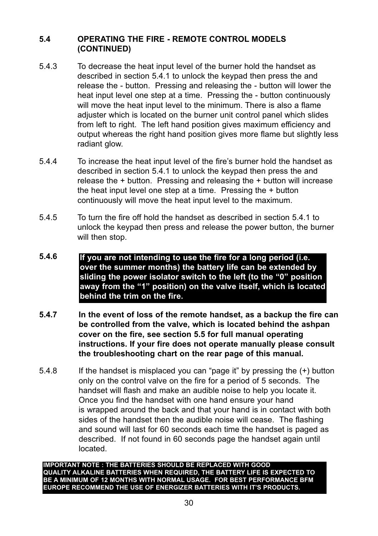#### **5.4 OPERATING THE FIRE - REMOTE CONTROL MODELS  (CONTINUED)**

- 5.4.3 To decrease the heat input level of the burner hold the handset as described in section 5.4.1 to unlock the keypad then press the and release the - button. Pressing and releasing the - button will lower the heat input level one step at a time. Pressing the - button continuously will move the heat input level to the minimum. There is also a flame adjuster which is located on the burner unit control panel which slides from left to right. The left hand position gives maximum efficiency and output whereas the right hand position gives more flame but slightly less radiant glow.
- 5.4.4 To increase the heat input level of the fire's burner hold the handset as described in section 5.4.1 to unlock the keypad then press the and release the + button. Pressing and releasing the + button will increase the heat input level one step at a time. Pressing the + button continuously will move the heat input level to the maximum.
- 5.4.5 To turn the fire off hold the handset as described in section 5.4.1 to unlock the keypad then press and release the power button, the burner will then stop.
- **5.4.6 If you are not intending to use the fire for a long period (i.e. over the summer months) the battery life can be extended by sliding the power isolator switch to the left (to the "0" position away from the "1" position) on the valve itself, which is located behind the trim on the fire.**
- **5.4.7 In the event of loss of the remote handset, as a backup the fire can be controlled from the valve, which is located behind the ashpan cover on the fire, see section 5.5 for full manual operating instructions. If your fire does not operate manually please consult the troubleshooting chart on the rear page of this manual.**
- 5.4.8 If the handset is misplaced you can "page it" by pressing the (+) button only on the control valve on the fire for a period of 5 seconds. The handset will flash and make an audible noise to help you locate it. Once you find the handset with one hand ensure your hand is wrapped around the back and that your hand is in contact with both sides of the handset then the audible noise will cease. The flashing and sound will last for 60 seconds each time the handset is paged as described. If not found in 60 seconds page the handset again until located.

**IMPORTANT NOTE : THE BATTERIES SHOULD BE REPLACED WITH GOOD QUALITY ALkALINE BATTERIES WHEN REQUIRED, THE BATTERY LIFE IS EXPECTED TO BE A MINIMUM OF 12 MONTHS WITH NORMAL USAGE. FOR BEST PERFORMANCE BFM EUROPE RECOMMEND THE USE OF ENERGIZER BATTERIES WITH IT'S PRODUCTS.**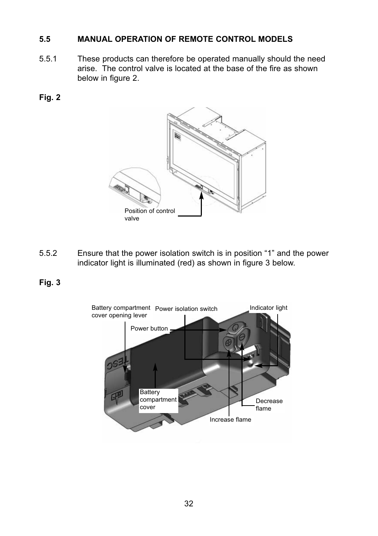#### **5.5 MANUAL OPERATION OF REMOTE CONTROL MODELS**

- 5.5.1 These products can therefore be operated manually should the need arise. The control valve is located at the base of the fire as shown below in figure 2.
- **Fig. 2**



- 5.5.2 Ensure that the power isolation switch is in position "1" and the power indicator light is illuminated (red) as shown in figure 3 below.
- **Fig. 3**

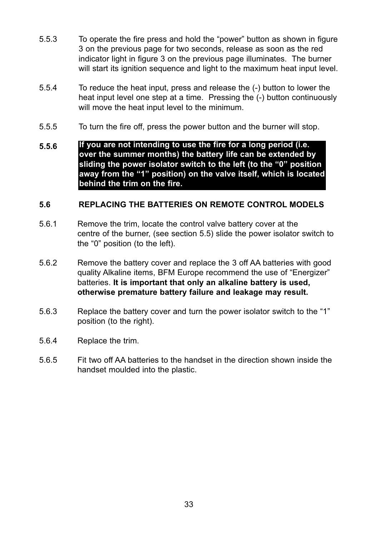- 5.5.3 To operate the fire press and hold the "power" button as shown in figure 3 on the previous page for two seconds, release as soon as the red indicator light in figure 3 on the previous page illuminates. The burner will start its ignition sequence and light to the maximum heat input level.
- 5.5.4 To reduce the heat input, press and release the (-) button to lower the heat input level one step at a time. Pressing the (-) button continuously will move the heat input level to the minimum.
- 5.5.5 To turn the fire off, press the power button and the burner will stop.
- **5.5.6 If you are not intending to use the fire for a long period (i.e. over the summer months) the battery life can be extended by sliding the power isolator switch to the left (to the "0" position away from the "1" position) on the valve itself, which is located behind the trim on the fire.**

#### **5.6 REPLACING THE BATTERIES ON REMOTE CONTROL MODELS**

- 5.6.1 Remove the trim, locate the control valve battery cover at the centre of the burner, (see section 5.5) slide the power isolator switch to the "0" position (to the left).
- 5.6.2 Remove the battery cover and replace the 3 off AA batteries with good quality Alkaline items, BFM Europe recommend the use of "Energizer" batteries. **It is important that only an alkaline battery is used, otherwise premature battery failure and leakage may result.**
- 5.6.3 Replace the battery cover and turn the power isolator switch to the "1" position (to the right).
- 5.6.4 Replace the trim.
- 5.6.5 Fit two off AA batteries to the handset in the direction shown inside the handset moulded into the plastic.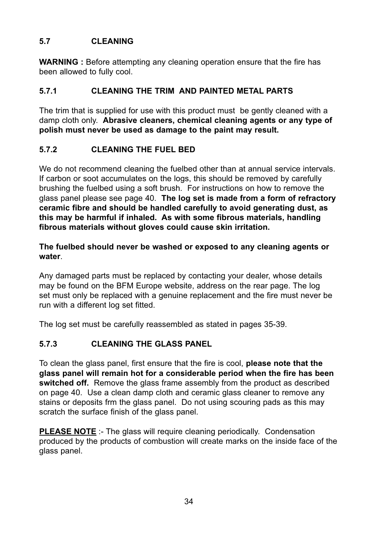#### **5.7 CLEANING**

**WARNING** : Before attempting any cleaning operation ensure that the fire has been allowed to fully cool.

#### **5.7.1 CLEANING THE TRIM AND PAINTED METAL PARTS**

The trim that is supplied for use with this product must be gently cleaned with a damp cloth only. **Abrasive cleaners, chemical cleaning agents or any type of polish must never be used as damage to the paint may result.**

#### **5.7.2 CLEANING THE FUEL BED**

We do not recommend cleaning the fuelbed other than at annual service intervals. If carbon or soot accumulates on the logs, this should be removed by carefully brushing the fuelbed using a soft brush. For instructions on how to remove the glass panel please see page 40. **The log set is made from a form of refractory ceramic fibre and should be handled carefully to avoid generating dust, as this may be harmful if inhaled. As with some fibrous materials, handling fibrous materials without gloves could cause skin irritation.**

**The fuelbed should never be washed or exposed to any cleaning agents or water**.

Any damaged parts must be replaced by contacting your dealer, whose details may be found on the BFM Europe website, address on the rear page. The log set must only be replaced with a genuine replacement and the fire must never be run with a different log set fitted.

The log set must be carefully reassembled as stated in pages 35-39.

#### **5.7.3 CLEANING THE GLASS PANEL**

To clean the glass panel, first ensure that the fire is cool, **please note that the glass panel will remain hot for a considerable period when the fire has been switched off.** Remove the glass frame assembly from the product as described on page 40. Use a clean damp cloth and ceramic glass cleaner to remove any stains or deposits frm the glass panel. Do not using scouring pads as this may scratch the surface finish of the glass panel.

**PLEASE NOTE** :- The glass will require cleaning periodically. Condensation produced by the products of combustion will create marks on the inside face of the glass panel.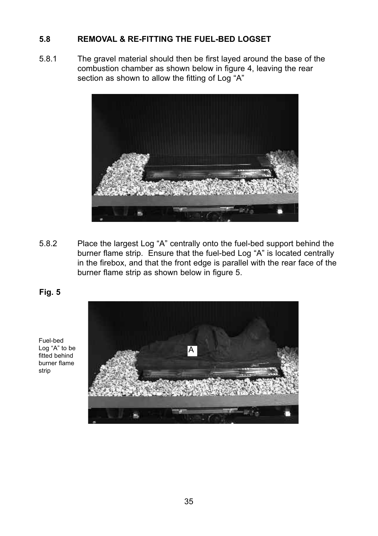#### **5.8 REMOVAL & RE-FITTING THE FUEL-BED LOGSET**

5.8.1 The gravel material should then be first layed around the base of the combustion chamber as shown below in figure 4, leaving the rear section as shown to allow the fitting of Log "A"



5.8.2 Place the largest Log "A" centrally onto the fuel-bed support behind the burner flame strip. Ensure that the fuel-bed Log "A" is located centrally in the firebox, and that the front edge is parallel with the rear face of the burner flame strip as shown below in figure 5.



Fuel-bed Log "A" to be fitted behind burner flame strip

**Fig. 5**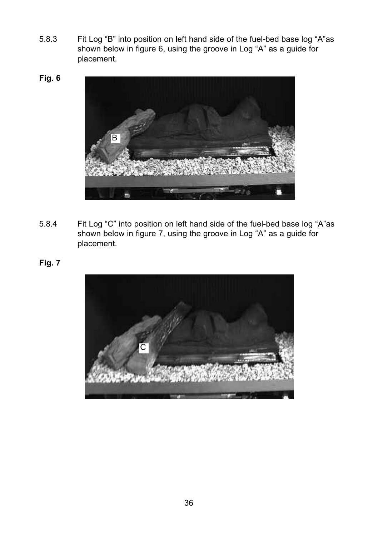- 5.8.3 Fit Log "B" into position on left hand side of the fuel-bed base log "A"as shown below in figure 6, using the groove in Log "A" as a guide for placement.
- **Fig. 6**



- 5.8.4 Fit Log "C" into position on left hand side of the fuel-bed base log "A"as shown below in figure 7, using the groove in Log "A" as a guide for placement.
- **Fig. 7**

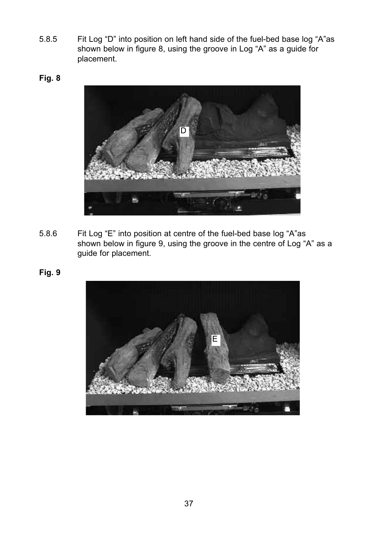- 5.8.5 Fit Log "D" into position on left hand side of the fuel-bed base log "A"as shown below in figure 8, using the groove in Log "A" as a guide for placement.
- **Fig. 8**



- 5.8.6 Fit Log "E" into position at centre of the fuel-bed base log "A"as shown below in figure 9, using the groove in the centre of Log "A" as a guide for placement.
- **Fig. 9**

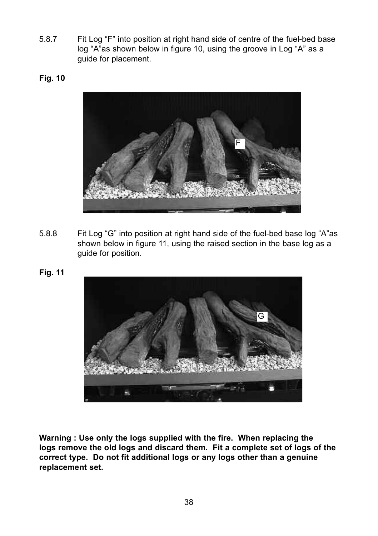- 5.8.7 Fit Log "F" into position at right hand side of centre of the fuel-bed base log "A"as shown below in figure 10, using the groove in Log "A" as a guide for placement.
- **Fig. 10**



- 5.8.8 Fit Log "G" into position at right hand side of the fuel-bed base log "A"as shown below in figure 11, using the raised section in the base log as a guide for position.
- **Fig. 11**



**Warning : Use only the logs supplied with the fire. When replacing the logs remove the old logs and discard them. Fit a complete set of logs of the correct type. Do not fit additional logs or any logs other than a genuine replacement set.**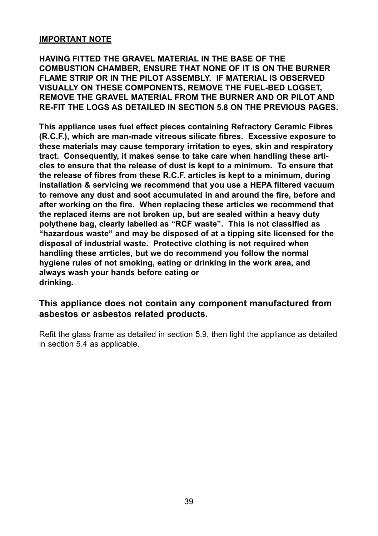#### **IMPORTANT NOTE**

**HAVING FITTED THE GRAVEL MATERIAL IN THE BASE OF THE COMBUSTION CHAMBER, ENSURE THAT NONE OF IT IS ON THE BURNER FLAME STRIP OR IN THE PILOT ASSEMBLY. IF MATERIAL IS OBSERVED VISUALLY ON THESE COMPONENTS, REMOVE THE FUEL-BED LOGSET, REMOVE THE GRAVEL MATERIAL FROM THE BURNER AND OR PILOT AND RE-FIT THE LOGS AS DETAILED IN SECTION 5.8 ON THE PREVIOUS PAGES.**

**This appliance uses fuel effect pieces containing Refractory Ceramic Fibres (R.C.F.), which are man-made vitreous silicate fibres. Excessive exposure to these materials may cause temporary irritation to eyes, skin and respiratory tract. Consequently, it makes sense to take care when handling these articles to ensure that the release of dust is kept to a minimum. To ensure that the release of fibres from these R.C.F. articles is kept to a minimum, during installation & servicing we recommend that you use a HEPA filtered vacuum to remove any dust and soot accumulated in and around the fire, before and after working on the fire. When replacing these articles we recommend that the replaced items are not broken up, but are sealed within a heavy duty polythene bag, clearly labelled as "RCF waste". This is not classified as "hazardous waste" and may be disposed of at a tipping site licensed for the disposal of industrial waste. Protective clothing is not required when handling these arrticles, but we do recommend you follow the normal hygiene rules of not smoking, eating or drinking in the work area, and always wash your hands before eating or drinking.**

#### **This appliance does not contain any component manufactured from asbestos or asbestos related products.**

Refit the glass frame as detailed in section 5.9, then light the appliance as detailed in section 5.4 as applicable.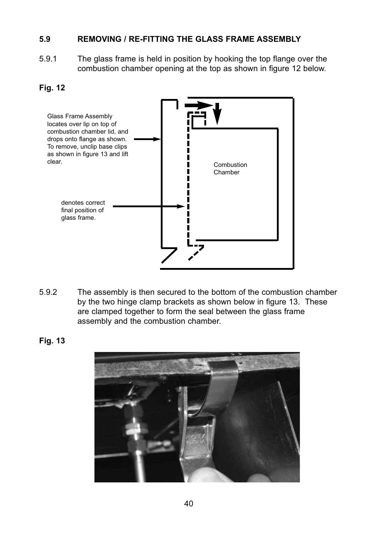#### **5.9 REMOVING / RE-FITTING THE GLASS FRAME ASSEMBLY**

5.9.1 The glass frame is held in position by hooking the top flange over the combustion chamber opening at the top as shown in figure 12 below.

#### **Fig. 12**



5.9.2 The assembly is then secured to the bottom of the combustion chamber by the two hinge clamp brackets as shown below in figure 13. These are clamped together to form the seal between the glass frame assembly and the combustion chamber.

**Fig. 13**

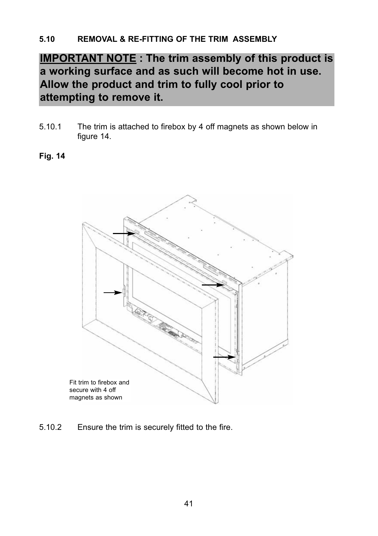# **IMPORTANT NOTE : The trim assembly of this product is a working surface and as such will become hot in use. Allow the product and trim to fully cool prior to attempting to remove it.**

5.10.1 The trim is attached to firebox by 4 off magnets as shown below in figure 14.

#### **Fig. 14**



5.10.2 Ensure the trim is securely fitted to the fire.